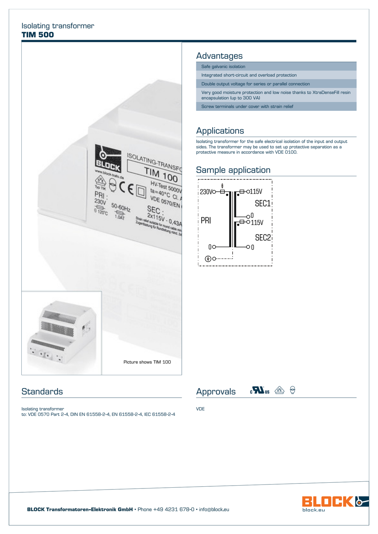#### Isolating transformer **TIM 500**



### **Standards**

Isolating transformer to: VDE 0570 Part 2-4, DIN EN 61558-2-4, EN 61558-2-4, IEC 61558-2-4

#### Advantages

Safe galvanic isolation

Integrated short-circuit and overload protection

Double output voltage for series or parallel connection

Very good moisture protection and low noise thanks to XtraDenseFill resin encapsulation (up to 300 VA)

Screw terminals under cover with strain relief

# Applications

Isolating transformer for the safe electrical isolation of the input and output sides. The transformer may be used to set up protective separation as a protective measure in accordance with VDE 0100.

# Sample application





Approvals  $\mathbf{c}^{\mathbf{N}}$ us  $\circledcirc$   $\circ$ 

VDE



BLOCK Transformatoren-Elektronik GmbH · Phone +49 4231 678-0 · info@block.eu